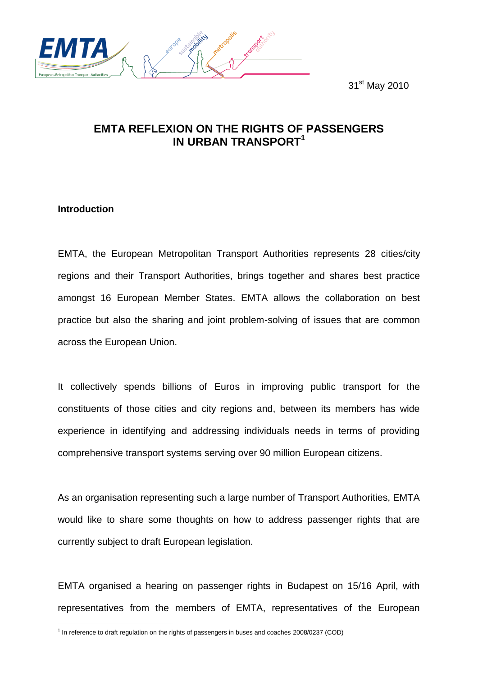31<sup>st</sup> May 2010



# **EMTA REFLEXION ON THE RIGHTS OF PASSENGERS IN URBAN TRANSPORT<sup>1</sup>**

## **Introduction**

EMTA, the European Metropolitan Transport Authorities represents 28 cities/city regions and their Transport Authorities, brings together and shares best practice amongst 16 European Member States. EMTA allows the collaboration on best practice but also the sharing and joint problem-solving of issues that are common across the European Union.

It collectively spends billions of Euros in improving public transport for the constituents of those cities and city regions and, between its members has wide experience in identifying and addressing individuals needs in terms of providing comprehensive transport systems serving over 90 million European citizens.

As an organisation representing such a large number of Transport Authorities, EMTA would like to share some thoughts on how to address passenger rights that are currently subject to draft European legislation.

EMTA organised a hearing on passenger rights in Budapest on 15/16 April, with representatives from the members of EMTA, representatives of the European

 1 In reference to draft regulation on the rights of passengers in buses and coaches 2008/0237 (COD)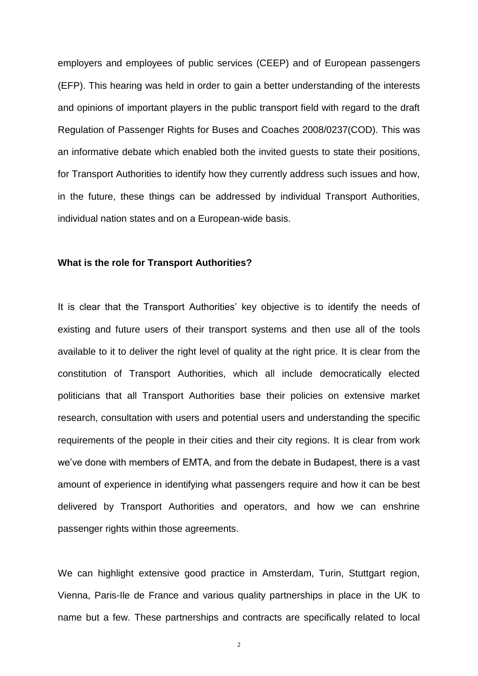employers and employees of public services (CEEP) and of European passengers (EFP). This hearing was held in order to gain a better understanding of the interests and opinions of important players in the public transport field with regard to the draft Regulation of Passenger Rights for Buses and Coaches 2008/0237(COD). This was an informative debate which enabled both the invited guests to state their positions, for Transport Authorities to identify how they currently address such issues and how, in the future, these things can be addressed by individual Transport Authorities, individual nation states and on a European-wide basis.

### **What is the role for Transport Authorities?**

It is clear that the Transport Authorities' key objective is to identify the needs of existing and future users of their transport systems and then use all of the tools available to it to deliver the right level of quality at the right price. It is clear from the constitution of Transport Authorities, which all include democratically elected politicians that all Transport Authorities base their policies on extensive market research, consultation with users and potential users and understanding the specific requirements of the people in their cities and their city regions. It is clear from work we've done with members of EMTA, and from the debate in Budapest, there is a vast amount of experience in identifying what passengers require and how it can be best delivered by Transport Authorities and operators, and how we can enshrine passenger rights within those agreements.

We can highlight extensive good practice in Amsterdam, Turin, Stuttgart region, Vienna, Paris-Ile de France and various quality partnerships in place in the UK to name but a few. These partnerships and contracts are specifically related to local

2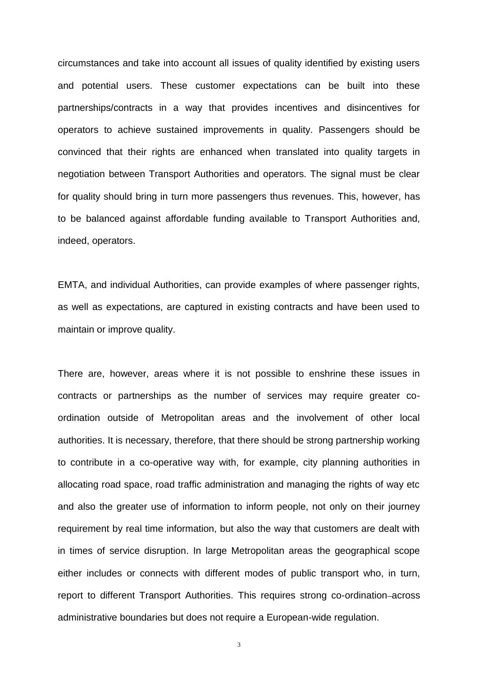circumstances and take into account all issues of quality identified by existing users and potential users. These customer expectations can be built into these partnerships/contracts in a way that provides incentives and disincentives for operators to achieve sustained improvements in quality. Passengers should be convinced that their rights are enhanced when translated into quality targets in negotiation between Transport Authorities and operators. The signal must be clear for quality should bring in turn more passengers thus revenues. This, however, has to be balanced against affordable funding available to Transport Authorities and, indeed, operators.

EMTA, and individual Authorities, can provide examples of where passenger rights, as well as expectations, are captured in existing contracts and have been used to maintain or improve quality.

There are, however, areas where it is not possible to enshrine these issues in contracts or partnerships as the number of services may require greater coordination outside of Metropolitan areas and the involvement of other local authorities. It is necessary, therefore, that there should be strong partnership working to contribute in a co-operative way with, for example, city planning authorities in allocating road space, road traffic administration and managing the rights of way etc and also the greater use of information to inform people, not only on their journey requirement by real time information, but also the way that customers are dealt with in times of service disruption. In large Metropolitan areas the geographical scope either includes or connects with different modes of public transport who, in turn, report to different Transport Authorities. This requires strong co-ordination across administrative boundaries but does not require a European-wide regulation.

3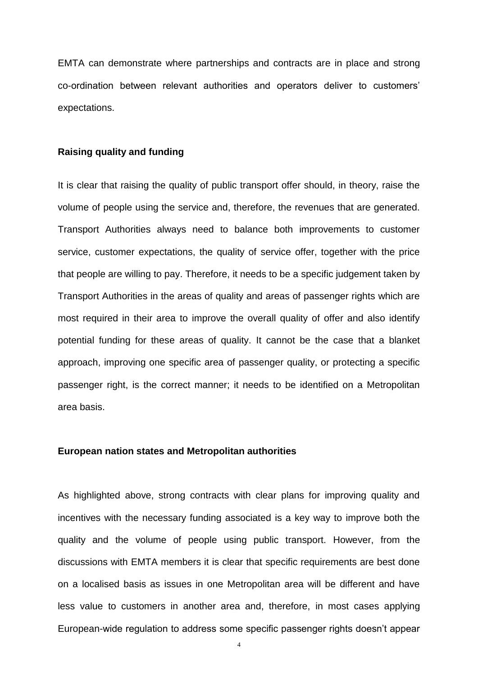EMTA can demonstrate where partnerships and contracts are in place and strong co-ordination between relevant authorities and operators deliver to customers' expectations.

### **Raising quality and funding**

It is clear that raising the quality of public transport offer should, in theory, raise the volume of people using the service and, therefore, the revenues that are generated. Transport Authorities always need to balance both improvements to customer service, customer expectations, the quality of service offer, together with the price that people are willing to pay. Therefore, it needs to be a specific judgement taken by Transport Authorities in the areas of quality and areas of passenger rights which are most required in their area to improve the overall quality of offer and also identify potential funding for these areas of quality. It cannot be the case that a blanket approach, improving one specific area of passenger quality, or protecting a specific passenger right, is the correct manner; it needs to be identified on a Metropolitan area basis.

#### **European nation states and Metropolitan authorities**

As highlighted above, strong contracts with clear plans for improving quality and incentives with the necessary funding associated is a key way to improve both the quality and the volume of people using public transport. However, from the discussions with EMTA members it is clear that specific requirements are best done on a localised basis as issues in one Metropolitan area will be different and have less value to customers in another area and, therefore, in most cases applying European-wide regulation to address some specific passenger rights doesn't appear